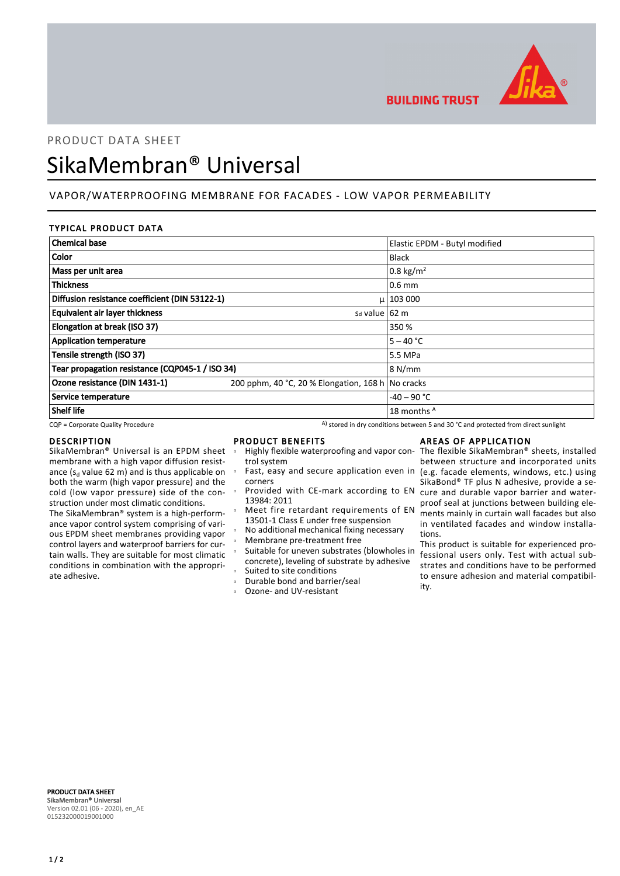

**BUILDING TRUST** 

# PRODUCT DATA SHEET SikaMembran® Universal

# VAPOR/WATERPROOFING MEMBRANE FOR FACADES - LOW VAPOR PERMEABILITY

# TYPICAL PRODUCT DATA

| <b>Chemical base</b>                            |                                                   | Elastic EPDM - Butyl modified |
|-------------------------------------------------|---------------------------------------------------|-------------------------------|
| Color                                           |                                                   | <b>Black</b>                  |
| Mass per unit area                              |                                                   | 0.8 kg/m <sup>2</sup>         |
| <b>Thickness</b>                                |                                                   | $0.6$ mm                      |
| Diffusion resistance coefficient (DIN 53122-1)  |                                                   | $\mu$   103 000               |
| Equivalent air layer thickness                  | s <sub>d</sub> value $62 \text{ m}$               |                               |
| Elongation at break (ISO 37)                    |                                                   | 350 %                         |
| <b>Application temperature</b>                  |                                                   | $5 - 40 °C$                   |
| Tensile strength (ISO 37)                       |                                                   | 5.5 MPa                       |
| Tear propagation resistance (CQP045-1 / ISO 34) |                                                   | 8 N/mm                        |
| Ozone resistance (DIN 1431-1)                   | 200 pphm, 40 °C, 20 % Elongation, 168 h No cracks |                               |
| Service temperature                             |                                                   | $-40 - 90$ °C                 |
| <b>Shelf life</b>                               |                                                   | 18 months A                   |

CQP = Corporate Quality Procedure A) stored in dry conditions between 5 and 30 °C and protected from direct sunlight

#### DESCRIPTION

SikaMembran® Universal is an EPDM sheet membrane with a high vapor diffusion resistance ( $s_d$  value 62 m) and is thus applicable on both the warm (high vapor pressure) and the cold (low vapor pressure) side of the construction under most climatic conditions. The SikaMembran® system is a high-performance vapor control system comprising of various EPDM sheet membranes providing vapor control layers and waterproof barriers for cur-

tain walls. They are suitable for most climatic conditions in combination with the appropriate adhesive.

#### PRODUCT BENEFITS

Ē

Ē

Ē

Ē

- trol system Ē
- corners
- Provided with CE-mark according to EN 13984: 2011
- Meet fire retardant requirements of EN 13501-1 Class E under free suspension
	- No additional mechanical fixing necessary
- Membrane pre-treatment free
- Suitable for uneven substrates (blowholes in concrete), leveling of substrate by adhesive Suited to site conditions
- Durable bond and barrier/seal
- Ozone- and UV-resistant

## AREAS OF APPLICATION

Highly flexible waterproofing and vapor con-The flexible SikaMembran® sheets, installed Fast, easy and secure application even in (e.g. facade elements, windows, etc.) using between structure and incorporated units SikaBond® TF plus N adhesive, provide a secure and durable vapor barrier and waterproof seal at junctions between building elements mainly in curtain wall facades but also in ventilated facades and window installations.

This product is suitable for experienced professional users only. Test with actual substrates and conditions have to be performed to ensure adhesion and material compatibility.

PRODUCT DATA SHEET SikaMembran® Universal Version 02.01 (06 - 2020), en\_AE 015232000019001000